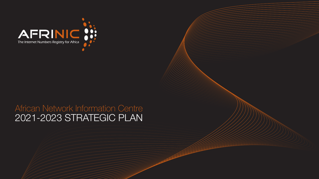

# African Network Information Centre 2021-2023 STRATEGIC PLAN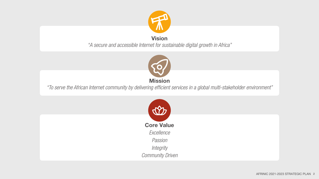

#### Vision

*"A secure and accessible Internet for sustainable digital growth in Africa"*



*"To serve the African Internet community by delivering efficient services in a global multi-stakeholder environment"*

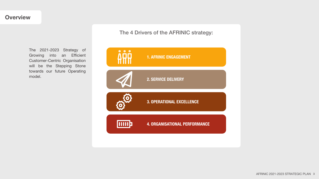The 4 Drivers of the AFRINIC strategy:

The 2021-2023 Strategy of Growing into an Efficient Customer-Centric Organisation will be the Stepping Stone towards our future Operating model.

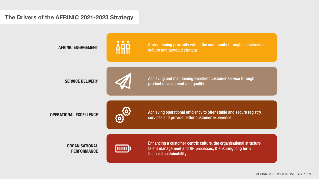#### The Drivers of the AFRINIC 2021-2023 Strategy



Strengthening proximity within the community through an inclusive AFRINIC ENGAGEMENT **AFRICUSE AFRICUSE AFRICUSE** 



Achieving and maintaining excellent customer service through **SERVICE DELIVERY SERVICE DELIVERY SERVICE DELIVERY** 



Achieving operational efficiency to offer stable and secure registry OPERATIONAL EXCELLENCE<br>
Services and provide better customer experience

#### **ORGANISATIONAL** PERFORMANCE



Enhancing a customer centric culture, the organisational structure, talent management and HR processes, & ensuring long term financial sustainability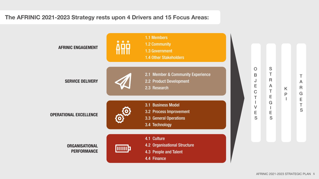### The AFRINIC 2021-2023 Strategy rests upon 4 Drivers and 15 Focus Areas:

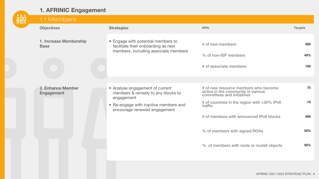

| ŀÅŲ | 1.1 Members                           |                                                                                                                                                             |                                                                                                                                                                                                                                                                                             |                               |
|-----|---------------------------------------|-------------------------------------------------------------------------------------------------------------------------------------------------------------|---------------------------------------------------------------------------------------------------------------------------------------------------------------------------------------------------------------------------------------------------------------------------------------------|-------------------------------|
|     | <b>Objectives</b>                     | <b>Strategies</b>                                                                                                                                           | <b>KPIs</b>                                                                                                                                                                                                                                                                                 | <b>Targets</b>                |
|     | 1. Increase Membership<br><b>Base</b> | • Engage with potential members to<br>facilitate their onboarding as new<br>members, including associate members                                            | # of new members<br>% of non-ISP members<br># of associate members                                                                                                                                                                                                                          | 900<br>40%<br>100             |
|     | 2. Enhance Member<br>Engagement       | • Analyse engagement of current<br>members & remedy to any blocks to<br>engagement<br>• Re-engage with inactive members and<br>encourage renewed engagement | # of new resource members who become<br>active in the community in various<br>committees and initiatives<br># of countries in the region with >30% IPv6<br>traffic<br># of members with announced IPv6 blocks<br>% of members with signed ROAs<br>% of members with route or route6 objects | 75<br>10<br>400<br>50%<br>95% |
|     |                                       |                                                                                                                                                             |                                                                                                                                                                                                                                                                                             |                               |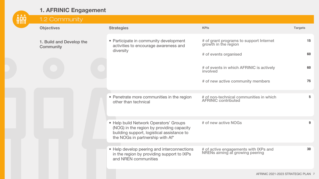

| 1.2 Community                         |                                                                                                                                                                       |                                                                          |                |
|---------------------------------------|-----------------------------------------------------------------------------------------------------------------------------------------------------------------------|--------------------------------------------------------------------------|----------------|
| <b>Objectives</b>                     | <b>Strategies</b>                                                                                                                                                     | <b>KPIs</b>                                                              | <b>Targets</b> |
| 1. Build and Develop the<br>Community | • Participate in community development<br>activities to encourage awareness and                                                                                       | # of grant programs to support Internet<br>growth in the region          | 15             |
|                                       | diversity                                                                                                                                                             | # of events organised                                                    | 60             |
|                                       |                                                                                                                                                                       | # of events in which AFRINIC is actively<br>involved                     | 60             |
|                                       |                                                                                                                                                                       | # of new active community members                                        | 75             |
|                                       | • Penetrate more communities in the region<br>other than technical                                                                                                    | # of non-technical communities in which<br><b>AFRINIC contributed</b>    | 5              |
|                                       | • Help build Network Operators' Groups<br>(NOG) in the region by providing capacity<br>building support, logistical assistance to<br>the NOGs in partnership with Af* | # of new active NOGs                                                     | 9              |
|                                       | • Help develop peering and interconnections<br>in the region by providing support to IXPs<br>and NREN communities                                                     | # of active engagements with IXPs and<br>NRENs aiming at growing peering | 30             |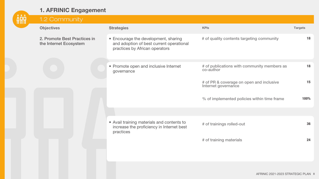

|  | 1.2 Community                                          |                                                                                                                    |                                                                 |                |
|--|--------------------------------------------------------|--------------------------------------------------------------------------------------------------------------------|-----------------------------------------------------------------|----------------|
|  | <b>Objectives</b>                                      | <b>Strategies</b>                                                                                                  | <b>KPIs</b>                                                     | <b>Targets</b> |
|  | 2. Promote Best Practices in<br>the Internet Ecosystem | • Encourage the development, sharing<br>and adoption of best current operational<br>practices by African operators | # of quality contents targeting community                       | 18             |
|  |                                                        | • Promote open and inclusive Internet<br>governance                                                                | # of publications with community members as<br>co-author        | 18             |
|  |                                                        |                                                                                                                    | # of PR & coverage on open and inclusive<br>Internet governance | 15             |
|  |                                                        |                                                                                                                    | % of implemented policies within time frame                     | 100%           |
|  |                                                        |                                                                                                                    |                                                                 |                |
|  |                                                        | • Avail training materials and contents to<br>increase the proficiency in Internet best<br>practices               | # of trainings rolled-out                                       | 36             |
|  |                                                        |                                                                                                                    | # of training materials                                         | 24             |
|  |                                                        |                                                                                                                    |                                                                 |                |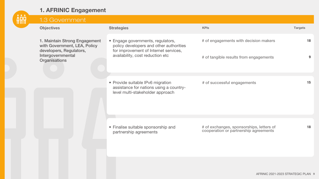

| 1.3 Government                                                                                                                 |                                                                                                                                                           |                                                                                   |                |
|--------------------------------------------------------------------------------------------------------------------------------|-----------------------------------------------------------------------------------------------------------------------------------------------------------|-----------------------------------------------------------------------------------|----------------|
| <b>Objectives</b>                                                                                                              | <b>Strategies</b>                                                                                                                                         | <b>KPIs</b>                                                                       | <b>Targets</b> |
| 1. Maintain Strong Engagement<br>with Government, LEA, Policy<br>developers, Regulators,<br>Intergovernmental<br>Organisations | • Engage governments, regulators,<br>policy developers and other authorities<br>for improvement of Internet services,<br>availability, cost reduction etc | # of engagements with decision makers<br># of tangible results from engagements   | 18<br>9        |
|                                                                                                                                | • Provide suitable IPv6 migration<br>assistance for nations using a country-<br>level multi-stakeholder approach                                          | # of successful engagements                                                       | 15             |
|                                                                                                                                | • Finalise suitable sponsorship and<br>partnership agreements                                                                                             | # of exchanges, sponsorships, letters of<br>cooperation or partnership agreements | 18             |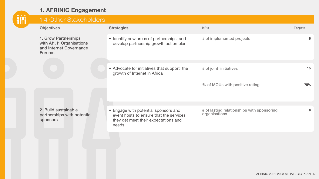

| 1.4 Other Stakeholders                                                                         |                                                                                                                                  |                                                             |                |
|------------------------------------------------------------------------------------------------|----------------------------------------------------------------------------------------------------------------------------------|-------------------------------------------------------------|----------------|
| <b>Objectives</b>                                                                              | <b>Strategies</b>                                                                                                                | <b>KPIs</b>                                                 | <b>Targets</b> |
| 1. Grow Partnerships<br>with Af*, I* Organisations<br>and Internet Governance<br><b>Forums</b> | • Identify new areas of partnerships and<br>develop partnership growth action plan                                               | # of implemented projects                                   | 6              |
|                                                                                                | • Advocate for initiatives that support the<br>growth of Internet in Africa                                                      | # of joint initiatives                                      | 15             |
|                                                                                                |                                                                                                                                  | % of MOUs with positive rating                              | 75%            |
|                                                                                                |                                                                                                                                  |                                                             |                |
| 2. Build sustainable<br>partnerships with potential<br>sponsors                                | • Engage with potential sponsors and<br>event hosts to ensure that the services<br>they get meet their expectations and<br>needs | # of lasting relationships with sponsoring<br>organisations | 8              |
|                                                                                                |                                                                                                                                  |                                                             |                |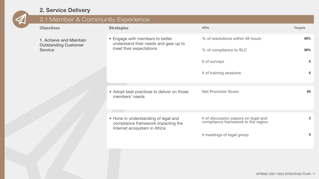# 2. Service Delivery

| 2.1 Member & Community Experience      |                                                                                                            |                                                                           |                |
|----------------------------------------|------------------------------------------------------------------------------------------------------------|---------------------------------------------------------------------------|----------------|
| <b>Objectives</b>                      | <b>Strategies</b>                                                                                          | <b>KPIs</b>                                                               | <b>Targets</b> |
| 1. Achieve and Maintain                | • Engage with members to better<br>understand their needs and gear up to                                   | % of resolutions within 48 hours                                          | 80%            |
| <b>Outstanding Customer</b><br>Service | meet their expectations                                                                                    | % of compliance to SLC                                                    | 90%            |
|                                        |                                                                                                            | # of surveys                                                              | 6              |
|                                        |                                                                                                            | # of training sessions                                                    | 6              |
|                                        | • Adopt best practices to deliver on those<br>members' needs                                               | <b>Net Promoter Score</b>                                                 | 65             |
|                                        | • Hone in understanding of legal and<br>compliance framework impacting the<br>Internet ecosystem in Africa | # of discussion papers on legal and<br>compliance framework in the region | $\overline{2}$ |
|                                        |                                                                                                            | # meetings of legal group                                                 | 5              |
|                                        |                                                                                                            |                                                                           |                |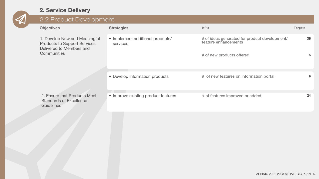# 2. Service Delivery

| <b>Objectives</b>                                                                                        | <b>Strategies</b>                            | <b>KPIs</b>                                                           | <b>Targets</b> |  |
|----------------------------------------------------------------------------------------------------------|----------------------------------------------|-----------------------------------------------------------------------|----------------|--|
| 1. Develop New and Meaningful<br>Products to Support Services<br>Delivered to Members and<br>Communities | • Implement additional products/<br>services | # of ideas generated for product development/<br>feature enhancements | 36             |  |
|                                                                                                          |                                              | # of new products offered                                             | 5              |  |
|                                                                                                          | • Develop information products               | # of new features on information portal                               | 6              |  |
| 2. Ensure that Products Meet<br><b>Standards of Excellence</b><br>Guidelines                             | • Improve existing product features          | # of features improved or added                                       | 24             |  |
|                                                                                                          | Z. SEIVICE DEIIVEI V                         | 2.2 Product Development                                               |                |  |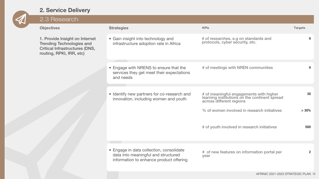# 2. Service Delivery

| 2.3 Research                                                                                                                     |                                                                                                                            |                                                                                                                      |                |
|----------------------------------------------------------------------------------------------------------------------------------|----------------------------------------------------------------------------------------------------------------------------|----------------------------------------------------------------------------------------------------------------------|----------------|
| <b>Objectives</b>                                                                                                                | <b>Strategies</b>                                                                                                          | <b>KPIs</b>                                                                                                          | <b>Targets</b> |
| 1. Provide Insight on Internet<br>Trending Technologies and<br><b>Critical Infrastructures (DNS,</b><br>routing, RPKI, IRR, etc) | • Gain insight into technology and<br>infrastructure adoption rate in Africa                                               | # of researches, e.g on standards and<br>protocols, cyber security, etc.                                             |                |
|                                                                                                                                  | • Engage with NRENS to ensure that the<br>services they get meet their expectations<br>and needs                           | # of meetings with NREN communities                                                                                  | 9              |
|                                                                                                                                  | • Identify new partners for co-research and<br>innovation, including women and youth                                       | # of meaningful engagements with higher<br>learning institutions on the continent spread<br>across different regions | 30             |
|                                                                                                                                  |                                                                                                                            | % of women involved in research initiatives                                                                          | >30%           |
|                                                                                                                                  |                                                                                                                            | # of youth involved in research initiatives                                                                          | 500            |
|                                                                                                                                  | • Engage in data collection, consolidate<br>data into meaningful and structured<br>information to enhance product offering | # of new features on information portal per<br>year                                                                  |                |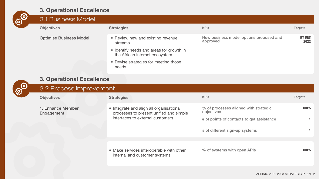

| 3.1 Business Model             |                                                                            |                                                     |                       |
|--------------------------------|----------------------------------------------------------------------------|-----------------------------------------------------|-----------------------|
| <b>Objectives</b>              | <b>Strategies</b>                                                          | <b>KPIs</b>                                         | <b>Targets</b>        |
| <b>Optimise Business Model</b> | • Review new and existing revenue<br>streams                               | New business model options proposed and<br>approved | <b>BY DEC</b><br>2022 |
|                                | • Identify needs and areas for growth in<br>the African Internet ecosystem |                                                     |                       |
|                                | • Devise strategies for meeting those<br>needs                             |                                                     |                       |

|                  | 3. Operational Excellence<br>3.2 Process Improvement |                                                                                                                         |                                                     |                |  |
|------------------|------------------------------------------------------|-------------------------------------------------------------------------------------------------------------------------|-----------------------------------------------------|----------------|--|
| ක් <sup>තා</sup> |                                                      |                                                                                                                         |                                                     |                |  |
|                  | <b>Objectives</b>                                    | <b>Strategies</b>                                                                                                       | <b>KPIs</b>                                         | <b>Targets</b> |  |
|                  | 1. Enhance Member<br>Engagement                      | • Integrate and align all organisational<br>processes to present unified and simple<br>interfaces to external customers | % of processes aligned with strategic<br>objectives | 100%           |  |
|                  |                                                      |                                                                                                                         | # of points of contacts to get assistance           |                |  |
|                  |                                                      |                                                                                                                         | # of different sign-up systems                      |                |  |
|                  |                                                      |                                                                                                                         |                                                     |                |  |
|                  |                                                      | • Make services interoperable with other<br>internal and customer systems                                               | % of systems with open APIs                         | 100%           |  |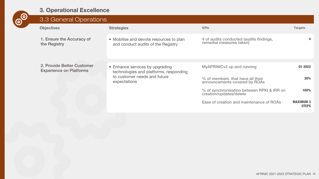

| 3.3 General Operations                                       |                                                                                                                           |                                                                       |                                  |
|--------------------------------------------------------------|---------------------------------------------------------------------------------------------------------------------------|-----------------------------------------------------------------------|----------------------------------|
| <b>Objectives</b>                                            | <b>Strategies</b>                                                                                                         | <b>KPIs</b>                                                           | <b>Targets</b>                   |
| 1. Ensure the Accuracy of<br>the Registry                    | • Mobilise and devote resources to plan<br>and conduct audits of the Registry                                             | # of audits conducted (audits findings,<br>remedial measures taken)   | 4                                |
| 2. Provide Better Customer<br><b>Experience on Platforms</b> | • Enhance services by upgrading<br>technologies and platforms, responding<br>to customer needs and future<br>expectations | MyAFRINIC v2 up and running                                           | 01 2022                          |
|                                                              |                                                                                                                           | % of members that have all their<br>announcements covered by ROAs     | 30%                              |
|                                                              |                                                                                                                           | % of synchronisation between RPKI & IRR on<br>creation/updates/delete | 100%                             |
|                                                              |                                                                                                                           | Ease of creation and maintenance of ROAs                              | <b>MAXIMUM 3</b><br><b>STEPS</b> |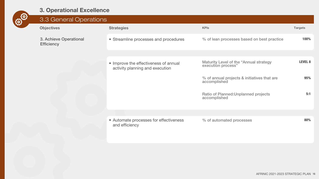

| ပ္လာ | 3.3 General Operations                      |                                                                          |                                                              |                |
|------|---------------------------------------------|--------------------------------------------------------------------------|--------------------------------------------------------------|----------------|
|      | <b>Objectives</b>                           | <b>Strategies</b>                                                        | <b>KPIs</b>                                                  | <b>Targets</b> |
|      | 3. Achieve Operational<br><b>Efficiency</b> | • Streamline processes and procedures                                    | % of lean processes based on best practice                   | 100%           |
|      |                                             |                                                                          |                                                              |                |
|      |                                             | • Improve the effectiveness of annual<br>activity planning and execution | Maturity Level of the "Annual strategy<br>execution process" | <b>LEVEL 8</b> |
|      |                                             |                                                                          | % of annual projects & initiatives that are<br>accomplished  | 95%            |
|      |                                             |                                                                          | Ratio of Planned: Unplanned projects<br>accomplished         | 5:1            |
|      |                                             |                                                                          |                                                              |                |
|      |                                             |                                                                          |                                                              |                |
|      |                                             | • Automate processes for effectiveness<br>and efficiency                 | % of automated processes                                     | 80%            |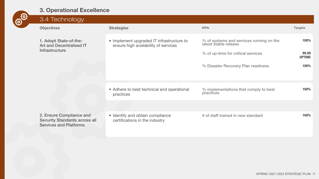

| <u>လွ</u> | 3.4 Technology                                                                                    |                                                                                   |                                                                                                                                               |                                        |
|-----------|---------------------------------------------------------------------------------------------------|-----------------------------------------------------------------------------------|-----------------------------------------------------------------------------------------------------------------------------------------------|----------------------------------------|
|           | <b>Objectives</b>                                                                                 | <b>Strategies</b>                                                                 | <b>KPIs</b>                                                                                                                                   | <b>Targets</b>                         |
|           | 1. Adopt State-of-the-<br>Art and Decentralised IT<br>Infrastructure                              | • Implement upgraded IT infrastructure to<br>ensure high availability of services | % of systems and services running on the<br>latest stable release<br>% of up-time for critical services<br>% Disaster Recovery Plan readiness | 100%<br>99.99<br><b>UPTIME</b><br>100% |
|           |                                                                                                   | • Adhere to best technical and operational<br>practices                           | % implementations that comply to best<br>practices                                                                                            | 100%                                   |
|           |                                                                                                   |                                                                                   |                                                                                                                                               |                                        |
|           | 2. Ensure Compliance and<br><b>Security Standards across all</b><br><b>Services and Platforms</b> | • Identify and obtain compliance<br>certifications in the industry                | # of staff trained in new standard                                                                                                            | 100%                                   |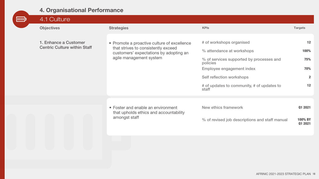| <b>THILD</b> | 4.1 Culture                                                  |                                                                                                                                                         |                                                                                                                                                                                                                                |                                                    |
|--------------|--------------------------------------------------------------|---------------------------------------------------------------------------------------------------------------------------------------------------------|--------------------------------------------------------------------------------------------------------------------------------------------------------------------------------------------------------------------------------|----------------------------------------------------|
|              | <b>Objectives</b>                                            | <b>Strategies</b>                                                                                                                                       | <b>KPIs</b>                                                                                                                                                                                                                    | <b>Targets</b>                                     |
|              | 1. Enhance a Customer<br><b>Centric Culture within Staff</b> | • Promote a proactive culture of excellence<br>that strives to consistently exceed<br>customers' expectations by adopting an<br>agile management system | # of workshops organised<br>% attendance at workshops<br>% of services supported by processes and<br>policies<br>Employee engagement index<br>Self reflection workshops<br># of updates to community, # of updates to<br>staff | 12<br>100%<br>75%<br>70%<br>$\overline{2}$<br>$12$ |
|              |                                                              |                                                                                                                                                         |                                                                                                                                                                                                                                |                                                    |
|              |                                                              | • Foster and enable an environment<br>that upholds ethics and accountability<br>amongst staff                                                           | New ethics framework<br>% of revised job descriptions and staff manual                                                                                                                                                         | <b>Q1 2021</b><br>100% BY<br><b>Q1 2021</b>        |
|              |                                                              |                                                                                                                                                         |                                                                                                                                                                                                                                |                                                    |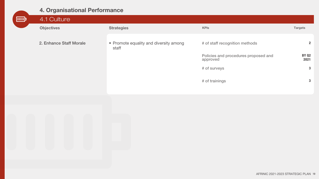| <b>THIP</b> | 4.1 Culture             |                                                 |                                                  |                      |
|-------------|-------------------------|-------------------------------------------------|--------------------------------------------------|----------------------|
|             | <b>Objectives</b>       | <b>Strategies</b>                               | <b>KPIs</b>                                      | <b>Targets</b>       |
|             | 2. Enhance Staff Morale | • Promote equality and diversity among<br>staff | # of staff recognition methods                   | $\overline{2}$       |
|             |                         |                                                 | Policies and procedures proposed and<br>approved | <b>BY Q2</b><br>2021 |
|             |                         |                                                 | # of surveys                                     | 3                    |
|             |                         |                                                 | # of trainings                                   | 3                    |

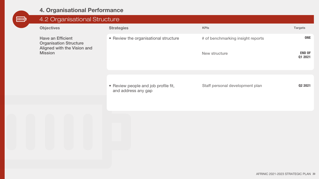| <b>THUP</b> | 4.2 Organisational Structure                                                                 |                                                             |                                                    |                                               |
|-------------|----------------------------------------------------------------------------------------------|-------------------------------------------------------------|----------------------------------------------------|-----------------------------------------------|
|             | <b>Objectives</b>                                                                            | <b>Strategies</b>                                           | <b>KPIs</b>                                        | Targets                                       |
|             | Have an Efficient<br><b>Organisation Structure</b><br>Aligned with the Vision and<br>Mission | • Review the organisational structure                       | # of benchmarking insight reports<br>New structure | <b>ONE</b><br><b>END OF</b><br><b>Q1 2021</b> |
|             |                                                                                              |                                                             |                                                    |                                               |
|             |                                                                                              | • Review people and job profile fit,<br>and address any gap | Staff personal development plan                    | Q2 2021                                       |
|             |                                                                                              |                                                             |                                                    |                                               |
|             |                                                                                              |                                                             |                                                    |                                               |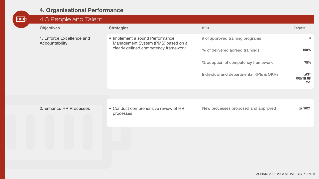| <b>ump</b> | 4.3 People and Talent                       |                                                                                                               |                                         |                                         |
|------------|---------------------------------------------|---------------------------------------------------------------------------------------------------------------|-----------------------------------------|-----------------------------------------|
|            | <b>Objectives</b>                           | <b>Strategies</b>                                                                                             | <b>KPIs</b>                             | <b>Targets</b>                          |
|            | 1. Enforce Excellence and<br>Accountability | • Implement a sound Performance<br>Management System (PMS) based on a<br>clearly defined competency framework | # of approved training programs         | 3                                       |
|            |                                             |                                                                                                               | % of delivered agreed trainings         | 100%                                    |
|            |                                             |                                                                                                               | % adoption of competency framework      | 75%                                     |
|            |                                             |                                                                                                               | Individual and departmental KPIs & OKRs | <b>LAST</b><br><b>MONTH OF</b><br>$Y-1$ |
|            |                                             |                                                                                                               |                                         |                                         |
|            |                                             |                                                                                                               |                                         |                                         |
|            | 2. Enhance HR Processes                     | • Conduct comprehensive review of HR<br>processes                                                             | New processes proposed and approved     | <b>Q2 2021</b>                          |
|            |                                             |                                                                                                               |                                         |                                         |
|            |                                             |                                                                                                               |                                         |                                         |
|            |                                             |                                                                                                               |                                         |                                         |
|            |                                             |                                                                                                               |                                         |                                         |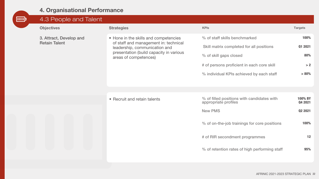| <b>TIMP</b> | 4.3 People and Talent                           |                                                                                                                                                                                     |                                                                    |                           |
|-------------|-------------------------------------------------|-------------------------------------------------------------------------------------------------------------------------------------------------------------------------------------|--------------------------------------------------------------------|---------------------------|
|             | <b>Objectives</b>                               | <b>Strategies</b>                                                                                                                                                                   | <b>KPIs</b>                                                        | <b>Targets</b>            |
|             | 3. Attract, Develop and<br><b>Retain Talent</b> | • Hone in the skills and competencies<br>of staff and management in: technical<br>leadership, communication and<br>presentation (build capacity in various<br>areas of competences) | % of staff skills benchmarked                                      | 100%                      |
|             |                                                 |                                                                                                                                                                                     | Skill matrix completed for all positions                           | Q1 2021                   |
|             |                                                 |                                                                                                                                                                                     | % of skill gaps closed                                             | 80%                       |
|             |                                                 |                                                                                                                                                                                     | # of persons proficient in each core skill                         | > 2                       |
|             |                                                 |                                                                                                                                                                                     | % individual KPIs achieved by each staff                           | >80%                      |
|             |                                                 |                                                                                                                                                                                     |                                                                    |                           |
|             |                                                 | • Recruit and retain talents                                                                                                                                                        | % of filled positions with candidates with<br>appropriate profiles | 100% BY<br><b>Q4 2021</b> |
|             |                                                 |                                                                                                                                                                                     | <b>New PMS</b>                                                     | Q2 2021                   |
|             |                                                 |                                                                                                                                                                                     | % of on-the-job trainings for core positions                       | 100%                      |
|             |                                                 |                                                                                                                                                                                     | # of RIR secondment programmes                                     | 12                        |
|             |                                                 |                                                                                                                                                                                     | % of retention rates of high performing staff                      | 95%                       |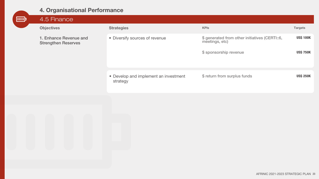| <b>THIP</b> | 4.5 Finance                                                               |                                                   |                                                                  |                  |
|-------------|---------------------------------------------------------------------------|---------------------------------------------------|------------------------------------------------------------------|------------------|
|             | <b>Objectives</b><br>1. Enhance Revenue and<br><b>Strengthen Reserves</b> | <b>Strategies</b>                                 | <b>KPIs</b>                                                      | <b>Targets</b>   |
|             |                                                                           | • Diversify sources of revenue                    | \$ generated from other initiatives (CERTI::6,<br>meetings, etc) | <b>US\$ 100K</b> |
|             |                                                                           |                                                   | \$ sponsorship revenue                                           | <b>US\$ 750K</b> |
|             |                                                                           |                                                   |                                                                  |                  |
|             |                                                                           | • Develop and implement an investment<br>strategy | \$ return from surplus funds                                     | <b>USS 250K</b>  |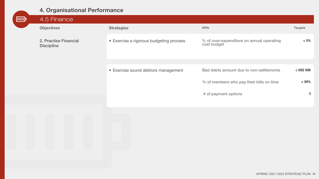| <b>THUP</b> | 4.5 Finance                                |                                         |                                                          |                                          |                |
|-------------|--------------------------------------------|-----------------------------------------|----------------------------------------------------------|------------------------------------------|----------------|
|             | <b>Objectives</b>                          |                                         | <b>Strategies</b>                                        | <b>KPIs</b>                              | <b>Targets</b> |
|             | 2. Practise Financial<br><b>Discipline</b> | • Exercise a rigorous budgeting process | % of over-expenditure on annual operating<br>cost budget | $< 5\%$                                  |                |
|             |                                            |                                         | • Exercise sound debtors management                      | Bad debts amount due to non-settlements  | $<$ US\$ 50K   |
|             |                                            |                                         |                                                          | % of members who pay their bills on time | $> 80\%$       |
|             |                                            |                                         |                                                          |                                          |                |
|             |                                            |                                         |                                                          | # of payment options                     | $\mathbf{3}$   |
|             |                                            |                                         |                                                          |                                          |                |
|             |                                            |                                         |                                                          |                                          |                |
|             |                                            |                                         |                                                          |                                          |                |
|             |                                            |                                         |                                                          |                                          |                |